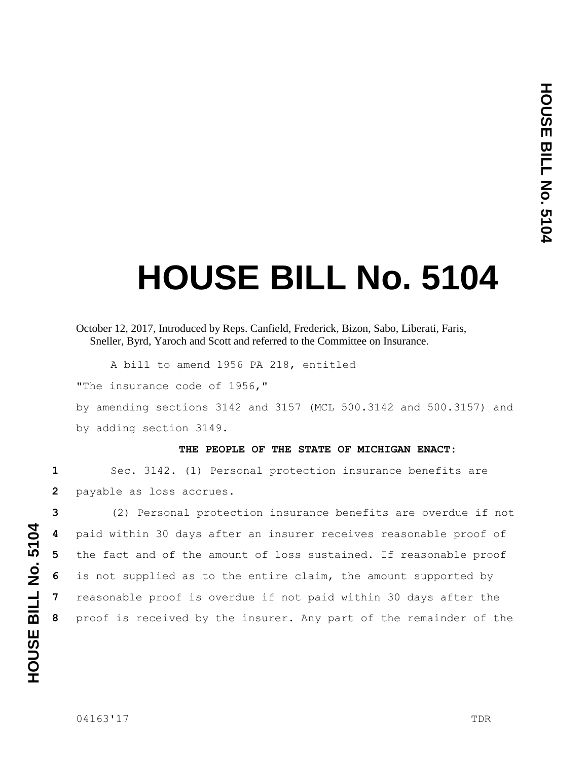## **HOUSE BILL No. 5104**

A bill to amend 1956 PA 218, entitled

"The insurance code of 1956,"

by amending sections 3142 and 3157 (MCL 500.3142 and 500.3157) and by adding section 3149.

## **THE PEOPLE OF THE STATE OF MICHIGAN ENACT:**

**1** Sec. 3142. (1) Personal protection insurance benefits are **2** payable as loss accrues.

 (2) Personal protection insurance benefits are overdue if not paid within 30 days after an insurer receives reasonable proof of the fact and of the amount of loss sustained. If reasonable proof is not supplied as to the entire claim, the amount supported by reasonable proof is overdue if not paid within 30 days after the proof is received by the insurer. Any part of the remainder of the

October 12, 2017, Introduced by Reps. Canfield, Frederick, Bizon, Sabo, Liberati, Faris, Sneller, Byrd, Yaroch and Scott and referred to the Committee on Insurance.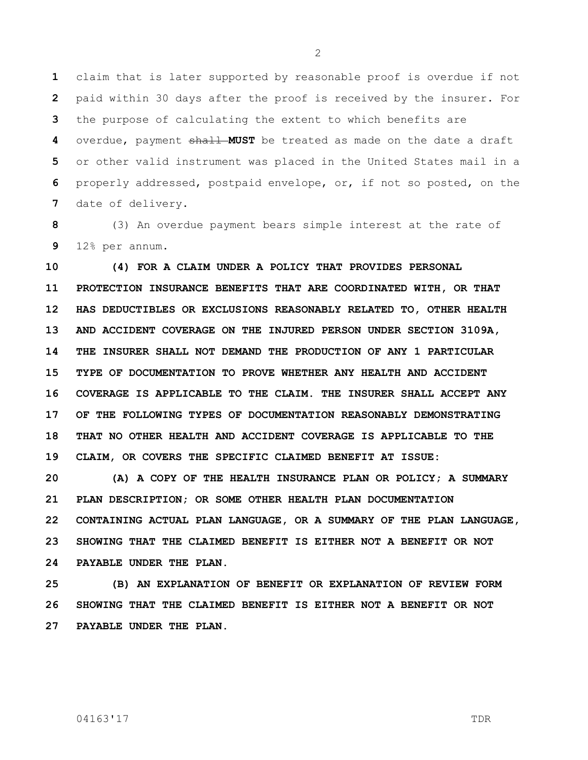claim that is later supported by reasonable proof is overdue if not paid within 30 days after the proof is received by the insurer. For the purpose of calculating the extent to which benefits are overdue, payment shall MUST be treated as made on the date a draft or other valid instrument was placed in the United States mail in a properly addressed, postpaid envelope, or, if not so posted, on the date of delivery.

 (3) An overdue payment bears simple interest at the rate of 12% per annum.

 **(4) FOR A CLAIM UNDER A POLICY THAT PROVIDES PERSONAL PROTECTION INSURANCE BENEFITS THAT ARE COORDINATED WITH, OR THAT HAS DEDUCTIBLES OR EXCLUSIONS REASONABLY RELATED TO, OTHER HEALTH AND ACCIDENT COVERAGE ON THE INJURED PERSON UNDER SECTION 3109A, THE INSURER SHALL NOT DEMAND THE PRODUCTION OF ANY 1 PARTICULAR TYPE OF DOCUMENTATION TO PROVE WHETHER ANY HEALTH AND ACCIDENT COVERAGE IS APPLICABLE TO THE CLAIM. THE INSURER SHALL ACCEPT ANY OF THE FOLLOWING TYPES OF DOCUMENTATION REASONABLY DEMONSTRATING THAT NO OTHER HEALTH AND ACCIDENT COVERAGE IS APPLICABLE TO THE CLAIM, OR COVERS THE SPECIFIC CLAIMED BENEFIT AT ISSUE:**

 **(A) A COPY OF THE HEALTH INSURANCE PLAN OR POLICY; A SUMMARY PLAN DESCRIPTION; OR SOME OTHER HEALTH PLAN DOCUMENTATION CONTAINING ACTUAL PLAN LANGUAGE, OR A SUMMARY OF THE PLAN LANGUAGE, SHOWING THAT THE CLAIMED BENEFIT IS EITHER NOT A BENEFIT OR NOT PAYABLE UNDER THE PLAN.**

 **(B) AN EXPLANATION OF BENEFIT OR EXPLANATION OF REVIEW FORM SHOWING THAT THE CLAIMED BENEFIT IS EITHER NOT A BENEFIT OR NOT PAYABLE UNDER THE PLAN.**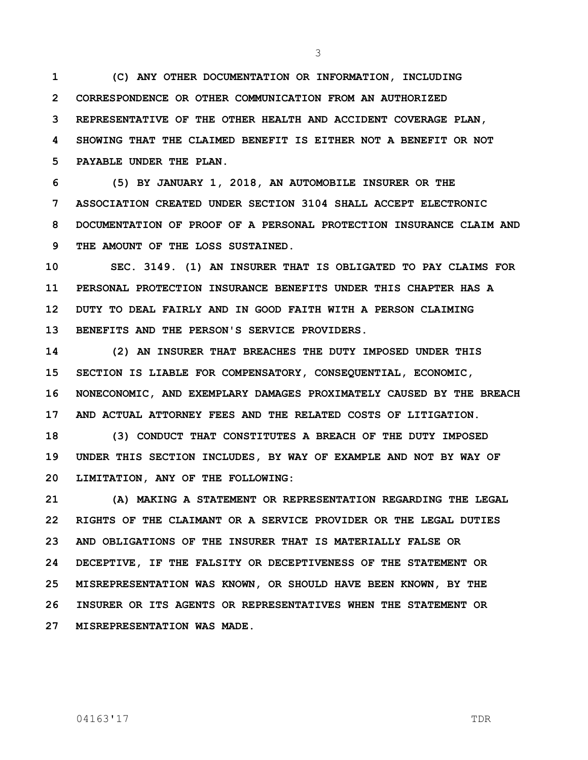**(C) ANY OTHER DOCUMENTATION OR INFORMATION, INCLUDING CORRESPONDENCE OR OTHER COMMUNICATION FROM AN AUTHORIZED REPRESENTATIVE OF THE OTHER HEALTH AND ACCIDENT COVERAGE PLAN, SHOWING THAT THE CLAIMED BENEFIT IS EITHER NOT A BENEFIT OR NOT PAYABLE UNDER THE PLAN.**

 **(5) BY JANUARY 1, 2018, AN AUTOMOBILE INSURER OR THE ASSOCIATION CREATED UNDER SECTION 3104 SHALL ACCEPT ELECTRONIC DOCUMENTATION OF PROOF OF A PERSONAL PROTECTION INSURANCE CLAIM AND THE AMOUNT OF THE LOSS SUSTAINED.**

 **SEC. 3149. (1) AN INSURER THAT IS OBLIGATED TO PAY CLAIMS FOR PERSONAL PROTECTION INSURANCE BENEFITS UNDER THIS CHAPTER HAS A DUTY TO DEAL FAIRLY AND IN GOOD FAITH WITH A PERSON CLAIMING BENEFITS AND THE PERSON'S SERVICE PROVIDERS.**

 **(2) AN INSURER THAT BREACHES THE DUTY IMPOSED UNDER THIS SECTION IS LIABLE FOR COMPENSATORY, CONSEQUENTIAL, ECONOMIC, NONECONOMIC, AND EXEMPLARY DAMAGES PROXIMATELY CAUSED BY THE BREACH AND ACTUAL ATTORNEY FEES AND THE RELATED COSTS OF LITIGATION.**

 **(3) CONDUCT THAT CONSTITUTES A BREACH OF THE DUTY IMPOSED UNDER THIS SECTION INCLUDES, BY WAY OF EXAMPLE AND NOT BY WAY OF LIMITATION, ANY OF THE FOLLOWING:**

 **(A) MAKING A STATEMENT OR REPRESENTATION REGARDING THE LEGAL RIGHTS OF THE CLAIMANT OR A SERVICE PROVIDER OR THE LEGAL DUTIES AND OBLIGATIONS OF THE INSURER THAT IS MATERIALLY FALSE OR DECEPTIVE, IF THE FALSITY OR DECEPTIVENESS OF THE STATEMENT OR MISREPRESENTATION WAS KNOWN, OR SHOULD HAVE BEEN KNOWN, BY THE INSURER OR ITS AGENTS OR REPRESENTATIVES WHEN THE STATEMENT OR MISREPRESENTATION WAS MADE.**

## 04163'17 TDR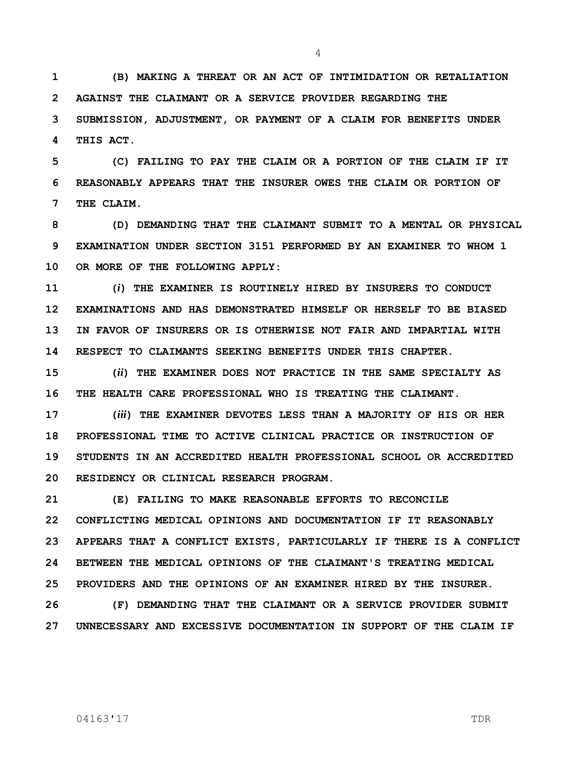**(B) MAKING A THREAT OR AN ACT OF INTIMIDATION OR RETALIATION AGAINST THE CLAIMANT OR A SERVICE PROVIDER REGARDING THE SUBMISSION, ADJUSTMENT, OR PAYMENT OF A CLAIM FOR BENEFITS UNDER THIS ACT.**

 **(C) FAILING TO PAY THE CLAIM OR A PORTION OF THE CLAIM IF IT REASONABLY APPEARS THAT THE INSURER OWES THE CLAIM OR PORTION OF THE CLAIM.**

 **(D) DEMANDING THAT THE CLAIMANT SUBMIT TO A MENTAL OR PHYSICAL EXAMINATION UNDER SECTION 3151 PERFORMED BY AN EXAMINER TO WHOM 1 OR MORE OF THE FOLLOWING APPLY:**

 **(***i***) THE EXAMINER IS ROUTINELY HIRED BY INSURERS TO CONDUCT EXAMINATIONS AND HAS DEMONSTRATED HIMSELF OR HERSELF TO BE BIASED IN FAVOR OF INSURERS OR IS OTHERWISE NOT FAIR AND IMPARTIAL WITH RESPECT TO CLAIMANTS SEEKING BENEFITS UNDER THIS CHAPTER.**

 **(***ii***) THE EXAMINER DOES NOT PRACTICE IN THE SAME SPECIALTY AS THE HEALTH CARE PROFESSIONAL WHO IS TREATING THE CLAIMANT.**

 **(***iii***) THE EXAMINER DEVOTES LESS THAN A MAJORITY OF HIS OR HER PROFESSIONAL TIME TO ACTIVE CLINICAL PRACTICE OR INSTRUCTION OF STUDENTS IN AN ACCREDITED HEALTH PROFESSIONAL SCHOOL OR ACCREDITED RESIDENCY OR CLINICAL RESEARCH PROGRAM.**

 **(E) FAILING TO MAKE REASONABLE EFFORTS TO RECONCILE CONFLICTING MEDICAL OPINIONS AND DOCUMENTATION IF IT REASONABLY APPEARS THAT A CONFLICT EXISTS, PARTICULARLY IF THERE IS A CONFLICT BETWEEN THE MEDICAL OPINIONS OF THE CLAIMANT'S TREATING MEDICAL PROVIDERS AND THE OPINIONS OF AN EXAMINER HIRED BY THE INSURER.**

 **(F) DEMANDING THAT THE CLAIMANT OR A SERVICE PROVIDER SUBMIT UNNECESSARY AND EXCESSIVE DOCUMENTATION IN SUPPORT OF THE CLAIM IF**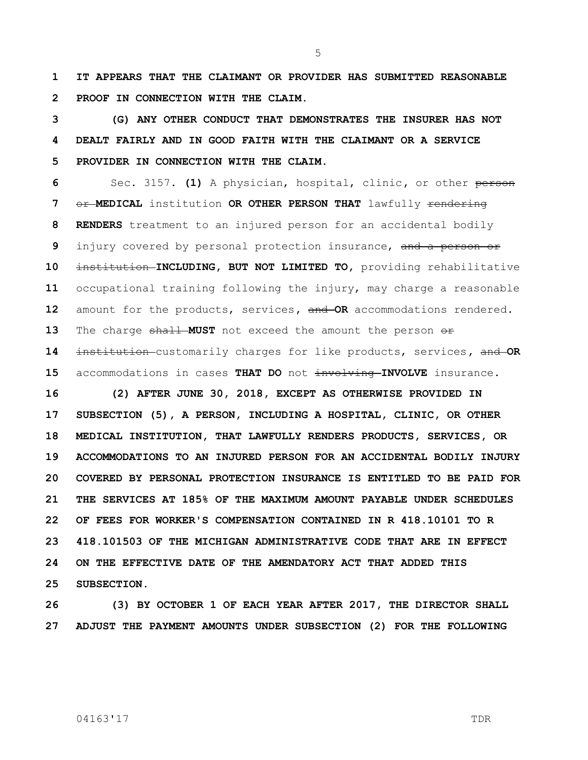**IT APPEARS THAT THE CLAIMANT OR PROVIDER HAS SUBMITTED REASONABLE PROOF IN CONNECTION WITH THE CLAIM.**

 **(G) ANY OTHER CONDUCT THAT DEMONSTRATES THE INSURER HAS NOT DEALT FAIRLY AND IN GOOD FAITH WITH THE CLAIMANT OR A SERVICE PROVIDER IN CONNECTION WITH THE CLAIM.**

 Sec. 3157. **(1)** A physician, hospital, clinic**,** or other person Or MEDICAL institution OR OTHER PERSON THAT lawfully rendering **RENDERS** treatment to an injured person for an accidental bodily injury covered by personal protection insurance, and a person or 10 institution **INCLUDING, BUT NOT LIMITED TO,** providing rehabilitative occupational training following the injury, may charge a reasonable amount for the products, services**,** and **OR** accommodations rendered. 13 The charge shall MUST not exceed the amount the person  $\Theta$ f institution customarily charges for like products, services**,** and **OR**  15 accommodations in cases THAT DO not involving INVOLVE insurance.

 **(2) AFTER JUNE 30, 2018, EXCEPT AS OTHERWISE PROVIDED IN SUBSECTION (5), A PERSON, INCLUDING A HOSPITAL, CLINIC, OR OTHER MEDICAL INSTITUTION, THAT LAWFULLY RENDERS PRODUCTS, SERVICES, OR ACCOMMODATIONS TO AN INJURED PERSON FOR AN ACCIDENTAL BODILY INJURY COVERED BY PERSONAL PROTECTION INSURANCE IS ENTITLED TO BE PAID FOR THE SERVICES AT 185% OF THE MAXIMUM AMOUNT PAYABLE UNDER SCHEDULES OF FEES FOR WORKER'S COMPENSATION CONTAINED IN R 418.10101 TO R 418.101503 OF THE MICHIGAN ADMINISTRATIVE CODE THAT ARE IN EFFECT ON THE EFFECTIVE DATE OF THE AMENDATORY ACT THAT ADDED THIS SUBSECTION.**

 **(3) BY OCTOBER 1 OF EACH YEAR AFTER 2017, THE DIRECTOR SHALL ADJUST THE PAYMENT AMOUNTS UNDER SUBSECTION (2) FOR THE FOLLOWING**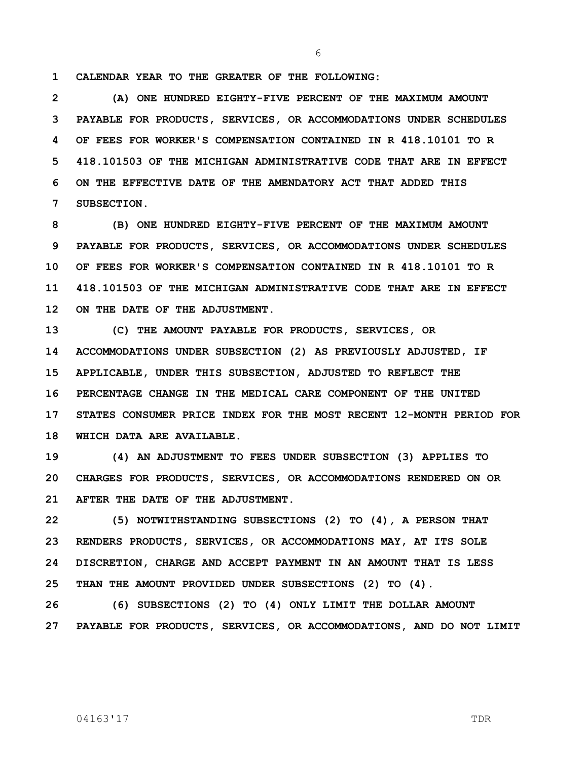**CALENDAR YEAR TO THE GREATER OF THE FOLLOWING:**

 **(A) ONE HUNDRED EIGHTY-FIVE PERCENT OF THE MAXIMUM AMOUNT PAYABLE FOR PRODUCTS, SERVICES, OR ACCOMMODATIONS UNDER SCHEDULES OF FEES FOR WORKER'S COMPENSATION CONTAINED IN R 418.10101 TO R 418.101503 OF THE MICHIGAN ADMINISTRATIVE CODE THAT ARE IN EFFECT ON THE EFFECTIVE DATE OF THE AMENDATORY ACT THAT ADDED THIS SUBSECTION.**

 **(B) ONE HUNDRED EIGHTY-FIVE PERCENT OF THE MAXIMUM AMOUNT PAYABLE FOR PRODUCTS, SERVICES, OR ACCOMMODATIONS UNDER SCHEDULES OF FEES FOR WORKER'S COMPENSATION CONTAINED IN R 418.10101 TO R 418.101503 OF THE MICHIGAN ADMINISTRATIVE CODE THAT ARE IN EFFECT ON THE DATE OF THE ADJUSTMENT.**

 **(C) THE AMOUNT PAYABLE FOR PRODUCTS, SERVICES, OR ACCOMMODATIONS UNDER SUBSECTION (2) AS PREVIOUSLY ADJUSTED, IF APPLICABLE, UNDER THIS SUBSECTION, ADJUSTED TO REFLECT THE PERCENTAGE CHANGE IN THE MEDICAL CARE COMPONENT OF THE UNITED STATES CONSUMER PRICE INDEX FOR THE MOST RECENT 12-MONTH PERIOD FOR WHICH DATA ARE AVAILABLE.**

 **(4) AN ADJUSTMENT TO FEES UNDER SUBSECTION (3) APPLIES TO CHARGES FOR PRODUCTS, SERVICES, OR ACCOMMODATIONS RENDERED ON OR AFTER THE DATE OF THE ADJUSTMENT.**

 **(5) NOTWITHSTANDING SUBSECTIONS (2) TO (4), A PERSON THAT RENDERS PRODUCTS, SERVICES, OR ACCOMMODATIONS MAY, AT ITS SOLE DISCRETION, CHARGE AND ACCEPT PAYMENT IN AN AMOUNT THAT IS LESS THAN THE AMOUNT PROVIDED UNDER SUBSECTIONS (2) TO (4).**

 **(6) SUBSECTIONS (2) TO (4) ONLY LIMIT THE DOLLAR AMOUNT PAYABLE FOR PRODUCTS, SERVICES, OR ACCOMMODATIONS, AND DO NOT LIMIT**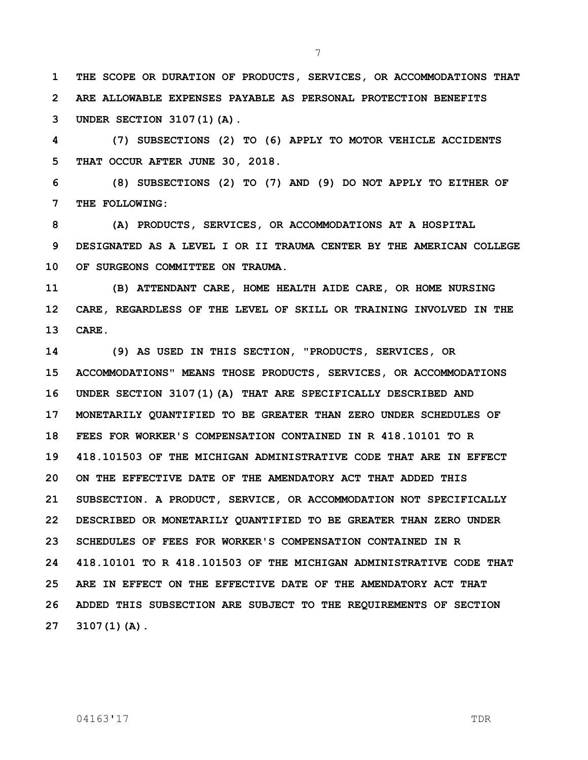**THE SCOPE OR DURATION OF PRODUCTS, SERVICES, OR ACCOMMODATIONS THAT ARE ALLOWABLE EXPENSES PAYABLE AS PERSONAL PROTECTION BENEFITS UNDER SECTION 3107(1)(A).**

 **(7) SUBSECTIONS (2) TO (6) APPLY TO MOTOR VEHICLE ACCIDENTS THAT OCCUR AFTER JUNE 30, 2018.**

 **(8) SUBSECTIONS (2) TO (7) AND (9) DO NOT APPLY TO EITHER OF THE FOLLOWING:**

 **(A) PRODUCTS, SERVICES, OR ACCOMMODATIONS AT A HOSPITAL DESIGNATED AS A LEVEL I OR II TRAUMA CENTER BY THE AMERICAN COLLEGE OF SURGEONS COMMITTEE ON TRAUMA.**

 **(B) ATTENDANT CARE, HOME HEALTH AIDE CARE, OR HOME NURSING CARE, REGARDLESS OF THE LEVEL OF SKILL OR TRAINING INVOLVED IN THE CARE.**

 **(9) AS USED IN THIS SECTION, "PRODUCTS, SERVICES, OR ACCOMMODATIONS" MEANS THOSE PRODUCTS, SERVICES, OR ACCOMMODATIONS UNDER SECTION 3107(1)(A) THAT ARE SPECIFICALLY DESCRIBED AND MONETARILY QUANTIFIED TO BE GREATER THAN ZERO UNDER SCHEDULES OF FEES FOR WORKER'S COMPENSATION CONTAINED IN R 418.10101 TO R 418.101503 OF THE MICHIGAN ADMINISTRATIVE CODE THAT ARE IN EFFECT ON THE EFFECTIVE DATE OF THE AMENDATORY ACT THAT ADDED THIS SUBSECTION. A PRODUCT, SERVICE, OR ACCOMMODATION NOT SPECIFICALLY DESCRIBED OR MONETARILY QUANTIFIED TO BE GREATER THAN ZERO UNDER SCHEDULES OF FEES FOR WORKER'S COMPENSATION CONTAINED IN R 418.10101 TO R 418.101503 OF THE MICHIGAN ADMINISTRATIVE CODE THAT ARE IN EFFECT ON THE EFFECTIVE DATE OF THE AMENDATORY ACT THAT ADDED THIS SUBSECTION ARE SUBJECT TO THE REQUIREMENTS OF SECTION 3107(1)(A).**

04163'17 TDR